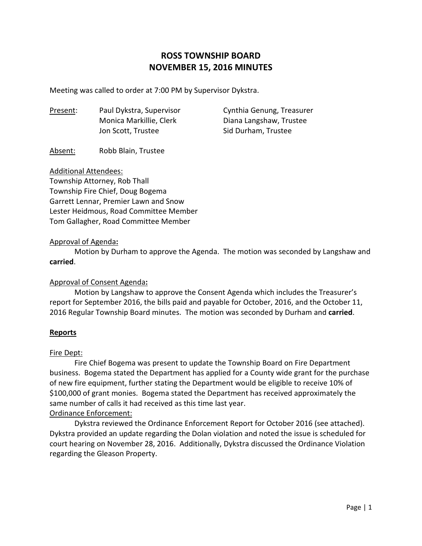# **ROSS TOWNSHIP BOARD NOVEMBER 15, 2016 MINUTES**

Meeting was called to order at 7:00 PM by Supervisor Dykstra.

| <u>Present</u> : | Paul Dykstra, Supervisor | Cynthia Genung, Treasurer |
|------------------|--------------------------|---------------------------|
|                  | Monica Markillie, Clerk  | Diana Langshaw, Trustee   |
|                  | Jon Scott, Trustee       | Sid Durham, Trustee       |

#### Absent: Robb Blain, Trustee

#### Additional Attendees:

Township Attorney, Rob Thall Township Fire Chief, Doug Bogema Garrett Lennar, Premier Lawn and Snow Lester Heidmous, Road Committee Member Tom Gallagher, Road Committee Member

#### Approval of Agenda**:**

 Motion by Durham to approve the Agenda. The motion was seconded by Langshaw and **carried**.

## Approval of Consent Agenda**:**

 Motion by Langshaw to approve the Consent Agenda which includes the Treasurer's report for September 2016, the bills paid and payable for October, 2016, and the October 11, 2016 Regular Township Board minutes. The motion was seconded by Durham and **carried**.

#### **Reports**

#### Fire Dept:

 Fire Chief Bogema was present to update the Township Board on Fire Department business. Bogema stated the Department has applied for a County wide grant for the purchase of new fire equipment, further stating the Department would be eligible to receive 10% of \$100,000 of grant monies. Bogema stated the Department has received approximately the same number of calls it had received as this time last year.

## Ordinance Enforcement:

 Dykstra reviewed the Ordinance Enforcement Report for October 2016 (see attached). Dykstra provided an update regarding the Dolan violation and noted the issue is scheduled for court hearing on November 28, 2016. Additionally, Dykstra discussed the Ordinance Violation regarding the Gleason Property.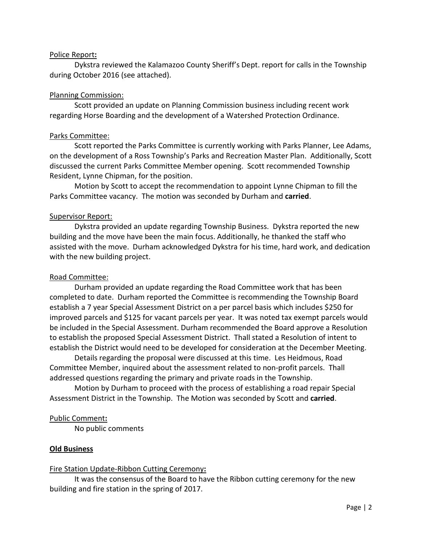### Police Report**:**

 Dykstra reviewed the Kalamazoo County Sheriff's Dept. report for calls in the Township during October 2016 (see attached).

### Planning Commission:

 Scott provided an update on Planning Commission business including recent work regarding Horse Boarding and the development of a Watershed Protection Ordinance.

#### Parks Committee:

 Scott reported the Parks Committee is currently working with Parks Planner, Lee Adams, on the development of a Ross Township's Parks and Recreation Master Plan. Additionally, Scott discussed the current Parks Committee Member opening. Scott recommended Township Resident, Lynne Chipman, for the position.

 Motion by Scott to accept the recommendation to appoint Lynne Chipman to fill the Parks Committee vacancy. The motion was seconded by Durham and **carried**.

#### Supervisor Report:

 Dykstra provided an update regarding Township Business. Dykstra reported the new building and the move have been the main focus. Additionally, he thanked the staff who assisted with the move. Durham acknowledged Dykstra for his time, hard work, and dedication with the new building project.

### Road Committee:

 Durham provided an update regarding the Road Committee work that has been completed to date. Durham reported the Committee is recommending the Township Board establish a 7 year Special Assessment District on a per parcel basis which includes \$250 for improved parcels and \$125 for vacant parcels per year. It was noted tax exempt parcels would be included in the Special Assessment. Durham recommended the Board approve a Resolution to establish the proposed Special Assessment District. Thall stated a Resolution of intent to establish the District would need to be developed for consideration at the December Meeting.

 Details regarding the proposal were discussed at this time. Les Heidmous, Road Committee Member, inquired about the assessment related to non-profit parcels. Thall addressed questions regarding the primary and private roads in the Township.

 Motion by Durham to proceed with the process of establishing a road repair Special Assessment District in the Township. The Motion was seconded by Scott and **carried**.

#### Public Comment**:**

No public comments

## **Old Business**

#### Fire Station Update-Ribbon Cutting Ceremony**:**

 It was the consensus of the Board to have the Ribbon cutting ceremony for the new building and fire station in the spring of 2017.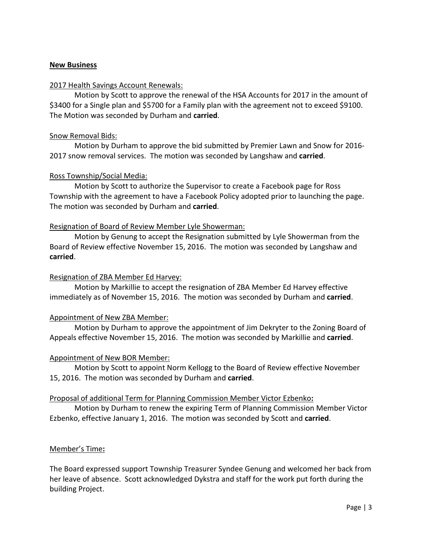## **New Business**

## 2017 Health Savings Account Renewals:

 Motion by Scott to approve the renewal of the HSA Accounts for 2017 in the amount of \$3400 for a Single plan and \$5700 for a Family plan with the agreement not to exceed \$9100. The Motion was seconded by Durham and **carried**.

## Snow Removal Bids:

 Motion by Durham to approve the bid submitted by Premier Lawn and Snow for 2016- 2017 snow removal services. The motion was seconded by Langshaw and **carried**.

# Ross Township/Social Media:

Motion by Scott to authorize the Supervisor to create a Facebook page for Ross Township with the agreement to have a Facebook Policy adopted prior to launching the page. The motion was seconded by Durham and **carried**.

# Resignation of Board of Review Member Lyle Showerman:

 Motion by Genung to accept the Resignation submitted by Lyle Showerman from the Board of Review effective November 15, 2016. The motion was seconded by Langshaw and **carried**.

## Resignation of ZBA Member Ed Harvey:

 Motion by Markillie to accept the resignation of ZBA Member Ed Harvey effective immediately as of November 15, 2016. The motion was seconded by Durham and **carried**.

# Appointment of New ZBA Member:

 Motion by Durham to approve the appointment of Jim Dekryter to the Zoning Board of Appeals effective November 15, 2016. The motion was seconded by Markillie and **carried**.

## Appointment of New BOR Member:

 Motion by Scott to appoint Norm Kellogg to the Board of Review effective November 15, 2016. The motion was seconded by Durham and **carried**.

## Proposal of additional Term for Planning Commission Member Victor Ezbenko**:**

 Motion by Durham to renew the expiring Term of Planning Commission Member Victor Ezbenko, effective January 1, 2016. The motion was seconded by Scott and **carried**.

# Member's Time**:**

The Board expressed support Township Treasurer Syndee Genung and welcomed her back from her leave of absence. Scott acknowledged Dykstra and staff for the work put forth during the building Project.